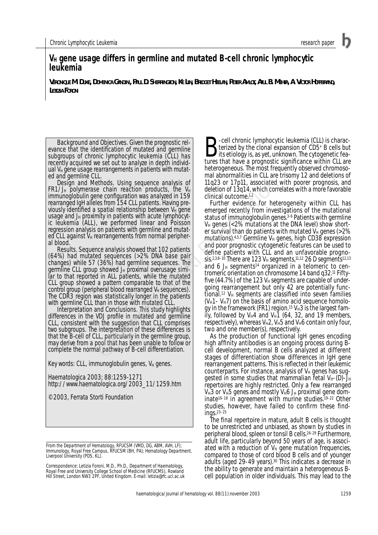# **VH gene usage differs in germline and mutated B-cell chronic lymphocytic leukemia**

**VERONIQUE M. DUKE, DOMENICA GANDINI, PAUL D. SHERRINGTON, KE LIN, BRIDGET HEELAN, PETER AMLOT, ATUL B. MEHTA, A. VICTOR HOFFBRAND, LETIZIA FORONI**

*Background and Objectives*. Given the prognostic relevance that the identification of mutated and germline subgroups of chronic lymphocytic leukemia (CLL) has recently acquired we set out to analyze in depth individual  $V_H$  gene usage rearrangements in patients with mutated and germline CLL.

*Design and Methods*. Using sequence analysis of FR1/J<sub>H</sub> polymerase chain reaction products, the V<sub>H</sub> immunoglobulin gene configuration was analyzed in 159 rearranged IgH alleles from 154 CLL patients. Having previously identified a spatial relationship between V $_H$  gene usage and  $J_H$  proximity in patients with acute lymphocytic leukemia (ALL), we performed linear and Poisson regression analysis on patients with germline and mutated CLL against  $V_H$  rearrangements from normal peripher-

al blood.<br>Results. Sequence analysis showed that 102 patients *Results*. Sequence analysis showed that 102 patients (64%) had mutated sequences (>2% DNA base pair changes) while 57 (36%) had germline sequences. The germline CLL group showed J<sub>H</sub> proximal overusage similar to that reported in ALL patients, while the mutated CLL group showed a pattern comparable to that of the control group (peripheral blood rearranged  $V_H$  sequences). The CDR3 region was statistically longer in the patients with germline CLL than in those with mutated CLL.

Interpretation and Conclusions. This study highlights. differences in the VDJ profile in mutated and germline CLL, consistent with the suggestion that CLL comprises two subgroups. The interpretation of these differences is that the B-cell of CLL, particularly in the germline group, may derive from a pool that has been unable to follow or complete the normal pathway of B-cell differentiation.

Key words: CLL, immunoglobulin genes,  $V_H$  genes.

Haematologica 2003; 88:1259-1271 http://www.haematologica.org/2003\_11/1259.htm

©2003, Ferrata Storti Foundation

**B**-cell chronic lymphocytic leukemia (CLL) is charac-<br>terized by the clonal expansion of CD5+ B cells but<br>its etiology is, as yet, unknown. The cytogenetic fea-<br>tures that have a prognostic significance within CLI are terized by the clonal expansion of CD5+ B cells but tures that have a prognostic significance within CLL are heterogeneous. The most frequently observed chromosomal abnormalities in CLL are trisomy 12 and deletions of 11q23 or 17p11, associated with poorer prognosis, and deletion of 13q14, which correlates with a more favorable clinical outcome.1,2

Further evidence for heterogeneity within CLL has emerged recently from investigations of the mutational status of immunoglobulin genes.3-6 Patients with germline  $V_H$  genes ( $<$ 2% mutations at the DNA level) show shorter survival than do patients with mutated  $V_H$  genes (>2% mutations).  $4,5,7$  Germline V<sub>H</sub> genes, high CD38 expression and poor prognostic cytogenetic features can be used to define patients with CLL and an unfavorable prognosis.<sup>2,3,8–10</sup> There are 123 V<sub>H</sub> segments,<sup>11,12</sup> 26 D segments<sup>12,13</sup> and 6  $J_H$  segments<sup>14</sup> organized in a telomeric to centromeric orientation on chromosome 14 band q32.11 Fiftyfive (44.7%) of the 123  $V_H$  segments are capable of undergoing rearrangement but only 42 are potentially functional.<sup>12</sup>  $V_H$  segments are classified into seven families  $(V_H1-V_H7)$  on the basis of amino acid sequence homology in the framework (FR1) region.<sup>15</sup>  $V_H$ 3 is the largest family, followed by  $V_H4$  and  $V_H1$  (64, 32, and 19 members, respectively), whereas  $V_H2$ ,  $V_H5$  and  $V_H6$  contain only four, two and one member(s), respectively. Ethods. Using sequence analysis of  $11q23$  or  $17p11$ , associated<br>
ee chain reaction products, the V<sub>H</sub> delettion of 13q14, which correlates the The spatial relationship between V<sub>H</sub> gene<br>
in the atter symbol center of th

As the production of functional IgH genes encoding high affinity antibodies is an ongoing process during Bcell development, normal B cells analyzed at different stages of differentiation show differences in IgH gene rearrangement patterns. This is reflected in their leukemic counterparts. For instance, analysis of  $V_H$  genes has suggested in some studies that mammalian fetal  $V_{H}$ -(D)-J $_{H}$ repertoires are highly restricted. Only a few rearranged  $V_H$ 3 or  $V_H$ 5 genes and mostly  $V_H$ 6 J<sub>H</sub> proximal gene dominate16-18 in agreement with murine studies.19-22 Other studies, however, have failed to confirm these findings.23–25

The final repertoire in mature, adult B cells is thought to be unrestricted and unbiased, as shown by studies in peripheral blood, spleen or tonsil B cells.<sup>26-29</sup> Furthermore, adult life, particularly beyond 50 years of age, is associated with a reduction of  $V_H$  gene mutation frequencies, compared to those of cord blood B cells and of younger adults (aged 29-49 years).<sup>30</sup> This indicates a decrease in the ability to generate and maintain a heterogeneous Bcell population in older individuals. This may lead to the

*From the Department of Hematology, RFUCSM (VMD, DG, ABM, AVH, LF); Immunology, Royal Free Campus, RFUCSM (BH, PA); Hematology Department, Liverpool University (PDS, KL).*

*Correspondence: Letizia Foroni, M.D., Ph.D., Department of Haematology, Royal Free and University College School of Medicine (RFUCMS), Rowland Hill Street, London NW3 2PF, United Kingdom. E-mail: letizia@rfc.ucl.ac.uk*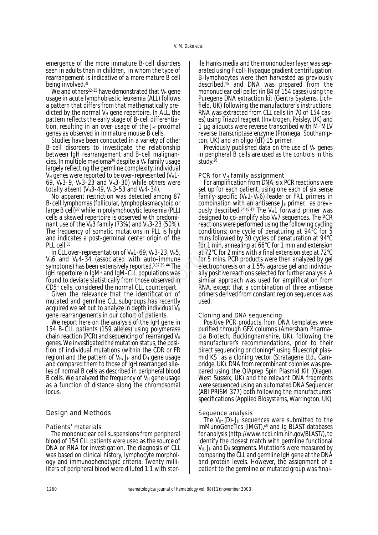emergence of the more immature B-cell disorders seen in adults than in children, in whom the type of rearrangement is indicative of a more mature B cell being involved.31

We and others<sup>32-35</sup> have demonstrated that  $V_H$  gene usage in acute lymphoblastic leukemia (ALL) follows a pattern that differs from that mathematically predicted by the normal  $V_H$  gene repertoire. In ALL, the pattern reflects the early stage of B-cell differentiation, resulting in an over-usage of the  $J_H$ -proximal genes as observed in immature mouse B cells.

Studies have been conducted in a variety of other B-cell disorders to investigate the relationship between IgH rearrangement and B-cell malignancies. In multiple myeloma<sup>36</sup> despite a  $V_H$  family usage largely reflecting the germline complexity, individual  $V_H$  genes were reported to be over-represented  $(V_H1 -$ 69,  $V_H$ 3-9,  $V_H$ 3-23 and  $V_H$ 3-30) while others were totally absent ( $V_H$ 3-49,  $V_H$ 3-53 and  $V_H$ 4-34).

No apparent restriction was detected among 87 B-cell lymphomas (follicular, lymphoplasmacytoid or large B cell)37 while in prolymphocytic leukemia (PLL) cells a skewed repertoire is observed with predominant use of the V $H_3$  family (73%) and V $H_3$ -23 (50%). The frequency of somatic mutations in PLL is high and indicates a post-germinal center origin of the PLL cell.<sup>38</sup>

In CLL over-representation of  $V_H$ 1-69,  $V_H$ 3-23,  $V_H$ 5,  $V_H6$  and  $V_H4-34$  (associated with auto-immune symptoms) has been extensively reported.3,37,39-44 The IgH repertoire in IgM+ and IgM-CLL populations was found to deviate statistically from those observed in CD5+ cells, considered the normal CLL counterpart.

Given the relevance that the identification of mutated and germline CLL subgroups has recently acquired we set out to analyze in depth individual  $V_H$ gene rearrangements in our cohort of patients.

We report here on the analysis of the IgH gene in 154 B-CLL patients (159 alleles) using polymerase chain reaction (PCR) and sequencing of rearranged  $V_H$ genes. We investigated the mutation status, the position of individual mutations (within the CDR or FR region) and the pattern of  $V_{H_i}$ ,  $J_H$  and  $D_H$  gene usage and compared them to those of IgH rearranged alleles of normal B cells as described in peripheral blood B cells. We analyzed the frequency of  $V_H$  gene usage as a function of distance along the chromosomal locus.

## Design and Methods

### *Patients' materials*

The mononuclear cell suspensions from peripheral blood of 154 CLL patients were used as the source of DNA or RNA for investigation. The diagnosis of CLL was based on clinical history, lymphocyte morphology and immunophenotypic criteria. Twenty milliliters of peripheral blood were diluted 1:1 with sterile Hanks media and the mononuclear layer was separated using Ficoll-Hypaque gradient centrifugation. B-lymphocytes were then harvested as previously described,45 and DNA was prepared from the mononuclear cell pellet (in 84 of 154 cases) using the Puregene DNA extraction kit (Gentra Systems, Lichfield, UK) following the manufacturer's instructions. RNA was extracted from CLL cells (in 70 of 154 cases) using Triazol reagent (Invitrogen, Paisley, UK) and 1 µg aliquots were reverse transcribed with M-MLV reverse transcriptase enzyme (Promega, Southampton, UK) and an oligo (dT) 15 primer.

Previously published data on the use of  $V_H$  genes in peripheral B cells are used as the controls in this study.26

## *PCR for V<sub>H</sub> family assignment*

For amplification from DNA, six PCR reactions were set up for each patient, using one each of six sense family-specific ( $V_H$ 1-V $_H$ 6) leader or FR1 primers in combination with an antisense  $J_H$  primer, as previously described. $34,46,47$  The V<sub>H</sub>1 forward primer was designed to co-amplify also  $V_H$ 7 sequences. The PCR reactions were performed using the following cycling conditions; one cycle of denaturing at 94°C for 5 mins followed by 30 cycles of denaturation at 94°C for 1 min, annealing at 66°C for 1 min and extension at 72°C for 2 mins with a final extension step at 72°C for 5 mins. PCR products were then analyzed by gel electrophoresis on a 1.5% agarose gel and individually positive reactions selected for further analysis. A similar approach was used for amplification from RNA, except that a combination of three antisense primers derived from constant region sequences was used. and V<sub>H</sub>3-30) while others were<br>
For amplification from DNA, since the 49, V<sub>H3</sub>-53 and V<sub>H</sub>4-34).<br>
Set up for each patient, using c<br>
follicular, lymphoplasmacytoid or<br>
follicular, lymphoplasmacytoid or<br>
in prolymphocytic

### *Cloning and DNA sequencing*

Positive PCR products from DNA templates were purified through GFX columns (Amersham Pharmacia Biotech, Buckinghamshire, UK), following the manufacturer's recommendations, prior to their direct sequencing or cloning<sup>46</sup> using Bluescript plasmid KS+ as a cloning vector (Stratagene Ltd., Cambridge, UK). DNA from recombinant colonies was prepared using the QIAprep Spin Plasmid Kit (Qiagen, West Sussex, UK) and the relevant DNA fragments were sequenced using an automated DNA Sequencer (ABI PRISM 377) both following the manufacturers' specifications (Applied Biosystems, Warrington, UK).

### *Sequence analysis*

The  $V_{H}$ -(D)-J<sub>H</sub> sequences were submitted to the ImMunoGeneTics (IMGT),<sup>48</sup> and Iq BLAST databases for analysis (http://www.ncbi.nlm.nih.gov/BLAST/), to identify the closest match with germline functional  $V_{H_i}$ ,  $J_H$  and  $D_H$  segments. Mutations were measured by comparing the CLL and germline IgH gene at the DNA and protein levels. However, the assignment of a patient to the *germline* or *mutated group* was final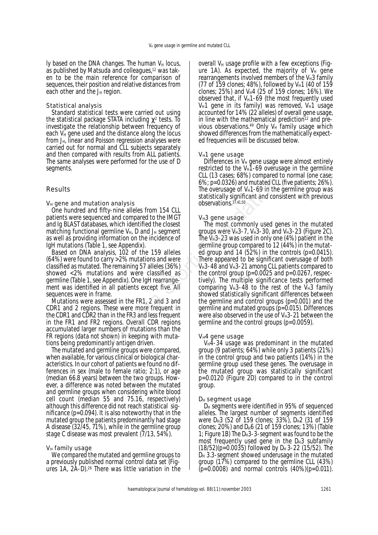ly based on the DNA changes. The human  $V_H$  locus, as published by Matsuda and colleagues,12 was taken to be the main reference for comparison of sequences, their position and relative distances from each other and the  $J_H$  region.

### *Statistical analysis*

Standard statistical tests were carried out using the statistical package STATA including  $\chi^2$  tests. To investigate the relationship between frequency of each  $V_H$  gene used and the distance along the locus from  $J_H$ , linear and Poisson regression analyses were carried out for normal and CLL subjects separately and then compared with results from ALL patients. The same analyses were performed for the use of D segments.

# Results

## *VH gene and mutation analysis*

One hundred and fifty-nine alleles from 154 CLL patients were sequenced and compared to the IMGT and Ig BLAST databases, which identified the closest matching functional germline  $V_{H}$ , D and  $J_{H}$  segment as well as providing information on the incidence of IgH mutations (Table 1, see Appendix).

Based on DNA analysis, 102 of the 159 alleles (64%) were found to carry >2% mutations and were classified as mutated. The remaining 57 alleles (36%) showed <2% mutations and were classified as germline (Table 1, see Appendix). One IgH rearrangement was identified in all patients except five. All sequences were in frame.

Mutations were assessed in the FR1, 2 and 3 and CDR1 and 2 regions. These were more frequent in the CDR1 and CDR2 than in the FR3 and less frequent in the FR1 and FR2 regions. Overall CDR regions accumulated larger numbers of mutations than the FR regions (*data not shown*) in keeping with mutations being predominantly *antigen driven*.

The mutated and germline groups were compared, when available, for various clinical or biological characteristics. In our cohort of patients we found no differences in sex (male to female ratio; 2:1), or age (median 66.8 years) between the two groups. However, a difference was noted between the mutated and germline groups when considering white blood cell count (median 55 and 75.16, respectively) although this difference did not reach statistical significance (*p*=0.094). It is also noteworthy that in the mutated group the patients predominantly had stage A disease (32/45, 71%), while in the germline group stage C disease was most prevalent (7/13, 54%).

### *VH family usage*

We compared the mutated and germline groups to a previously published normal control data set (Figures 1A, 2A-D).26 There was little variation in the

overall  $V_H$  usage profile with a few exceptions (Figure 1A). As expected, the majority of  $V_H$  gene rearrangements involved members of the  $V_H3$  family (77 of 159 clones; 48%), followed by V $_{H}$ 1 (40 of 159 clones; 25%) and V $_H4$  (25 of 159 clones; 16%). We observed that, if  $V_H1-69$  (the most frequently used  $V_H1$  gene in its family) was removed,  $V_H1$  usage accounted for 14% (22 alleles) of overall gene usage, in line with the mathematical prediction<sup>12</sup> and previous observations.<sup>49</sup> Only  $V_H$  family usage which showed differences from the mathematically expected frequencies will be discussed below.

## *VH1 gene usage*

Differences in  $V_H$  gene usage were almost entirely restricted to the  $V_H1-69$  overusage in the germline CLL (13 cases; 68%) compared to normal (one case; 6%; *p*=0.0326) and mutated CLL (five patients; 26%). The overusage of  $V_H1-69$  in the germline group was statistically significant and consistent with previous observations.37,41,50

## *VH3 gene usage*

The most commonly used genes in the mutated groups were  $V_H$ 3-7,  $V_H$ 3-30, and  $V_H$ 3-23 (Figure 2C). The  $V_H$ 3-23 was used in only one (4%) patient in the germline group compared to 12 (44%) in the mutated group and 14 (52%) in the controls (*p*=0.0415). There appeared to be significant overusage of both  $V_H$ 3-48 and  $V_H$ 3-21 among CLL patients compared to the control group ( $p=0.0025$  and  $p=0.0267$ , respectively). The multiple significance tests performed comparing  $V_H$ 3-48 to the rest of the  $V_H$ 3 family showed statistically significant differences between the germline and control groups (*p*=0.001) and the germline and mutated groups (*p*=0.015). Differences were also observed in the use of  $V_H$ 3-21 between the germline and the control groups (*p*=0.0059). **Example 18** to the matrice of the control of the control of the statistically significant and conservations  $\frac{37.4150}{20}$  and compared to the IMGT<br>
enced and conservations  $\frac{37.4150}{20}$  and compared to the IMGT<br>
en

### *VH4 gene usage*

 $V_H$ 4-34 usage was predominant in the mutated group (9 patients; 64%) while only 3 patients (21%) in the control group and two patients (14%) in the germline group used these genes. The overusage in the mutated group was statistically significant *p*=0.0120 (Figure 2D) compared to in the control group.

### *DH segment usage*

D<sub>H</sub> segments were identified in 95% of sequenced alleles. The largest number of segments identified were  $D_H$ 3 (52 of 159 clones; 33%),  $D_H$ 2 (31 of 159 clones;  $20\%$ ) and D<sub>H</sub>6 (21 of 159 clones; 13%) (Table 1; Figure 1B) The  $D_H$ 3-3-segment was found to be the most frequently used gene in the  $D_H3$  subfamily (18/52)( $p=0.0035$ ) followed by D<sub>H</sub> 3-22 (15/52). The  $D_H$  3.3-segment showed underusage in the mutated group (17%) compared to the germline CLL (43%) (*p*=0.0008) and normal controls (40%)(*p*=0.011).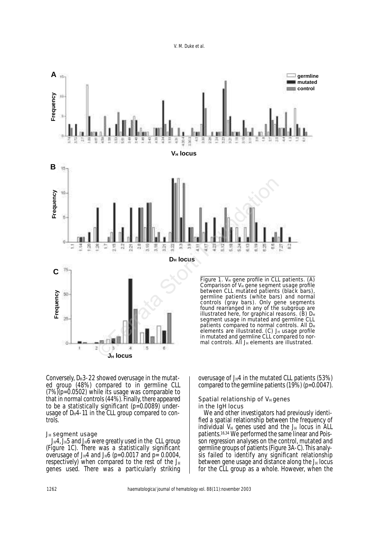

Conversely,  $D_H3-22$  showed overusage in the mutated group (48%) compared to in germline CLL (7%)(*p*=0.0502) while its usage was comparable to that in normal controls (44%). Finally, there appeared to be a statistically significant (*p*=0.0089) underusage of  $D_H$ 4-11 in the CLL group compared to controls.

#### *JH segment usage*

 $J_H4$ ,  $J_H5$  and  $J_H6$  were greatly used in the CLL group (Figure 1C). There was a statistically significant overusage of J<sub>H</sub>4 and J<sub>H</sub>6 ( $p=0.0017$  and  $p=0.0004$ , respectively) when compared to the rest of the  $J_H$ genes used. There was a particularly striking

overusage of  $J_H4$  in the mutated CLL patients (53%) compared to the germline patients (19%) (*p*=0.0047).

#### **Spatial relationship of V<sub>H</sub> genes** *in the IgH locus*

We and other investigators had previously identified a spatial relationship between the frequency of individual  $V_H$  genes used and the  $J_H$  locus in ALL patients.<sup>16,34</sup> We performed the same linear and Poisson regression analyses on the control, mutated and germline groups of patients (Figure 3A-C). This analysis failed to identify any significant relationship between gene usage and distance along the  $J_H$  locus for the CLL group as a whole. However, when the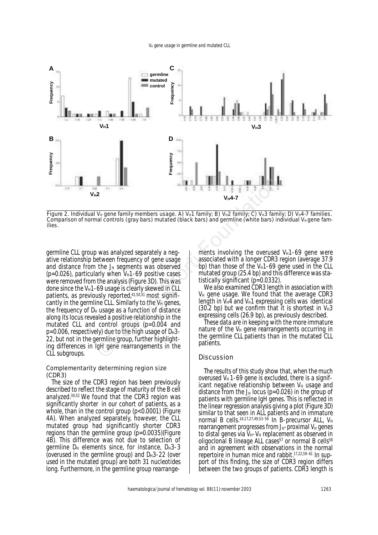

Figure 2. Individual V<sub>H</sub> gene family members usage. A) V<sub>H</sub>1 family: B) V<sub>H</sub>2 family: C) V<sub>H</sub>3 family: D) V<sub>H</sub>4-7 families. Comparison of normal controls (gray bars) mutated (black bars) and germline (white bars) individual V<sub>H</sub> gene families.

germline CLL group was analyzed separately a negative relationship between frequency of gene usage and distance from the  $J_H$  segments was observed  $(p=0.026)$ , particularly when  $V_H$ 1-69 positive cases were removed from the analysis (Figure 3D). This was done since the  $V_H$ 1-69 usage is clearly skewed in CLL patients, as previously reported,41,50,51 most significantly in the germline CLL. Similarly to the  $V_H$  genes, the frequency of  $D_H$  usage as a function of distance along its locus revealed a positive relationship in the mutated CLL and control groups (*p*=0.004 and  $p=0.006$ , respectively) due to the high usage of  $D_H$ 3-22, but not in the germline group, further highlighting differences in IgH gene rearrangements in the CLL subgroups. **Example 19**<br>
2.<br>
2.<br> **V<sub>H</sub>** gene family members usage. A) V<sub>H</sub>1 family: B) V<sub>H</sub>2 family: C) V<sub>H</sub>3 familal controls (gray bars) mutated (black bars) and germline (white bars) in<br>
1. Was analyzed separately a neg-<br>
etween

#### *Complementarity determining region size (CDR3)*

The size of the CDR3 region has been previously described to reflect the stage of maturity of the B cell analyzed.30,52 We found that the CDR3 region was significantly shorter in our cohort of patients, as a whole, than in the control group (*p*<0.0001) (Figure 4A). When analyzed separately, however, the CLL mutated group had significantly shorter CDR3 regions than the germline group (*p*=0.0035)(Figure 4B). This difference was not due to selection of germline  $D_H$  elements since, for instance,  $D_H$ 3-3 (overused in the germline group) and  $D_H$ 3-22 (over used in the mutated group) are both 31 nucleotides long. Furthermore, in the germline group rearrangements involving the overused  $V_H$ 1-69 gene were associated with a longer CDR3 region (average 37.9 bp) than those of the  $V_H1-69$  gene used in the CLL mutated group (25.4 bp) and this difference was statistically significant (*p*=0.0332).

We also examined CDR3 length in association with  $V_H$  gene usage. We found that the average CDR3 length in  $V_H4$  and  $V_H1$  expressing cells was identical (30.2 bp) but we confirm that it is shortest in  $V_H$ 3 expressing cells (26.9 bp), as previously described.

These data are in keeping with the more immature nature of the  $V_H$  gene rearrangements occurring in the germline CLL patients than in the mutated CLL patients.

#### **Discussion**

The results of this study show that, when the much overused  $V_H$  1-69 gene is excluded, there is a significant negative relationship between  $V_H$  usage and distance from the J<sub>H</sub> locus ( $p=0.026$ ) in the group of patients with germline IgH genes. This is reflected in the linear regression analysis giving a plot (Figure 3D) similar to that seen in ALL patients and in immature normal B cells.<sup>16,17,27,49,53-56</sup> In B-precursor ALL, V<sub>H</sub> rearrangement progresses from  $J_H$ -proximal  $V_H$  genes to distal genes via  $V_H-V_H$  replacement as observed in oligoclonal B lineage ALL cases<sup>57</sup> or normal B cells<sup>58</sup> and in agreement with observations in the normal repertoire in human mice and rabbit.17,22,59–61 In support of this finding, the size of CDR3 region differs between the two groups of patients. CDR3 length is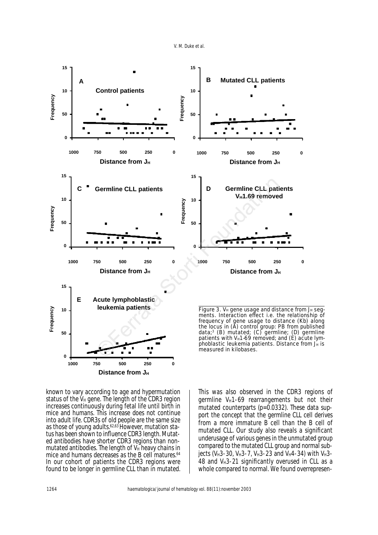V. M. Duke et al.



known to vary according to age and hypermutation status of the  $V_H$  gene. The length of the CDR3 region increases continuously during fetal life until birth in mice and humans. This increase does not continue into adult life. CDR3s of old people are the same size as those of young adults.<sup>62,63</sup> However, mutation status has been shown to influence CDR3 length. Mutated antibodies have shorter CDR3 regions than nonmutated antibodies. The length of  $V_H$  heavy chains in mice and humans decreases as the B cell matures.<sup>64</sup> In our cohort of patients the CDR3 regions were found to be longer in germline CLL than in mutated.

This was also observed in the CDR3 regions of germline  $V_H$ 1-69 rearrangements but not their mutated counterparts (p=0.0332). These data support the concept that the germline CLL cell derives from a more immature B cell than the B cell of mutated CLL. Our study also reveals a significant underusage of various genes in the unmutated group compared to the mutated CLL group and normal subjects (V<sub>H</sub>3-30, V<sub>H</sub>3-7, V<sub>H</sub>3-23 and V<sub>H</sub>4-34) with V<sub>H</sub>3-48 and V<sup>H3-21</sup> significantly overused in CLL as a whole compared to normal. We found overrepresen-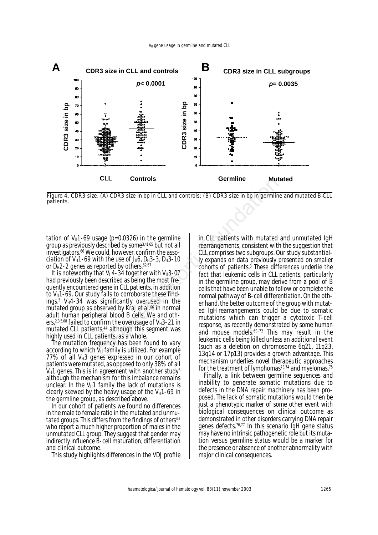

Figure 4. CDR3 size. (A) CDR3 size in bp in CLL and controls; (B) CDR3 size in bp in germline and mutated B-CLL patients.

tation of  $V_H$ 1-69 usage ( $p=0.0326$ ) in the germline group as previously described by some3,41,65 but not all investigators.66 We could, however, confirm the association of  $V_H$ 1-69 with the use of  $J_H$ 6, D $H_3$ -3, D $H_3$ -10 or  $D_H$ 2-2 genes as reported by others.<sup>62,67</sup>

It is noteworthy that  $V_H4-34$  together with  $V_H3-07$ had previously been described as being the most frequently encountered gene in CLL patients, in addition to  $V_H$ 1-69. Our study fails to corroborate these find $ings<sup>3</sup>$  V $H4-34$  was significantly overused in the mutated group as observed by Kraj *et al*. <sup>66</sup> in normal adult human peripheral blood B cells. We and others,  $2,3,5,68$  failed to confirm the overusage of V $H_3-21$  in mutated CLL patients,<sup>44</sup> although this segment was highly used in CLL patients, as a whole.

The mutation frequency has been found to vary according to which  $V_H$  family is utilized. For example  $77\%$  of all V $H3$  genes expressed in our cohort of patients were mutated, as opposed to only 38% of all  $V_H$ 1 genes. This is in agreement with another study<sup>3</sup> although the mechanism for this imbalance remains unclear. In the  $V_H1$  family the lack of mutations is clearly skewed by the heavy usage of the  $V_H$ 1-69 in the germline group, as described above.

In our cohort of patients we found no differences in the male to female ratio in the mutated and unmutated groups. This differs from the findings of others<sup>4,7</sup> who report a much higher proportion of males in the unmutated CLL group. They suggest that gender may indirectly influence B-cell maturation, differentiation and clinical outcome.

This study highlights differences in the VDJ profile

in CLL patients with mutated and unmutated IgH rearrangements, consistent with the suggestion that CLL comprises two subgroups. Our study substantially expands on data previously presented on smaller cohorts of patients.3 These differences underlie the fact that leukemic cells in CLL patients, particularly in the germline group, may derive from a pool of B cells that have been unable to follow or complete the normal pathway of B-cell differentiation. On the other hand, the better outcome of the group with mutated IgH rearrangements could be due to somatic mutations which can trigger a cytotoxic T-cell response, as recently demonstrated by some human and mouse models.69-72 This may result in the leukemic cells being killed unless an additional event (such as a deletion on chromosome 6q21, 11q23, 13q14 or 17p13) provides a growth advantage. This mechanism underlies novel therapeutic approaches for the treatment of lymphomas $73,74$  and myelomas.<sup>75</sup> ELL Controis Germine Mut<br>
E. (A) CDR3 size in bp in CLL and controls; (B) CDR3 size in bp in germline<br>
described by some<sup>341,65</sup> but not all<br>
could, however, confirm the asso-<br>
could, however, confirm the asso-<br>
could, bo

Finally, a link between germline sequences and inability to generate somatic mutations due to defects in the DNA repair machinery has been proposed. The lack of somatic mutations would then be just a phenotypic marker of some other event with biological consequences on clinical outcome as demonstrated in other disorders carrying DNA repair genes defects.76,77 In this scenario IgH gene status may have no intrinsic pathogenetic role but its mutation versus germline status would be a marker for the presence or absence of another abnormality with major clinical consequences.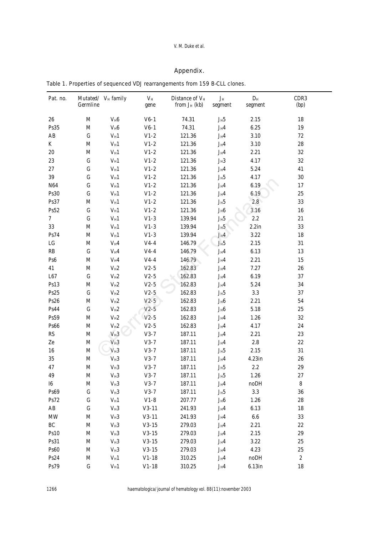## V. M. Duke et al.

## *Appendix.*

|  | Table 1. Properties of sequenced VDJ rearrangements from 159 B-CLL clones. |  |
|--|----------------------------------------------------------------------------|--|
|  |                                                                            |  |

| Pat. no.        | Germline    | Mutated/ V <sub>H</sub> family | $V_H$<br>gene | Distance of $V_H$<br>from $J_H$ (kb) | $J_H$<br>segment                    | $D_H$<br>segment | CDR3<br>(bp) |
|-----------------|-------------|--------------------------------|---------------|--------------------------------------|-------------------------------------|------------------|--------------|
| 26              | $\mathbf M$ | $V_H6$                         | $V6-1$        | 74.31                                | $J_H5$                              | 2.15             | 18           |
| Ps35            | $\mathbf M$ | $V_H6$                         | $V6-1$        | 74.31                                | $J_H4$                              | $6.25\,$         | 19           |
| AB              | ${\bf G}$   | $V_{\rm H}1$                   | $V1-2$        | 121.36                               | $J_H4$                              | $3.10\,$         | $72\,$       |
| K               | $\mathbf M$ | $V_H1$                         | $V1-2$        | 121.36                               | $J_H4$                              | $3.10\,$         | $28\,$       |
| $20\,$          | $\mathbf M$ | $V_H1$                         | $V1-2$        | 121.36                               | $J_H4$                              | 2.21             | $32\,$       |
| $23\,$          | ${\bf G}$   | $V_H1$                         | $V1-2$        | 121.36                               | $J_{\rm H}3$                        | 4.17             | $32\,$       |
| 27              | ${\bf G}$   | $V_{\rm H}1$                   | $V1-2$        | 121.36                               | $J_H4$                              | 5.24             | 41           |
| $39\,$          | ${\bf G}$   | $V_H1$                         | $V1-2$        | 121.36                               | $J_H5$                              | 4.17             | $30\,$       |
| N <sub>64</sub> | ${\bf G}$   | $V_H1$                         | $V1-2$        | 121.36                               | $J_H4$                              | 6.19             | 17           |
| Ps30            | ${\bf G}$   | $V_{\rm H}1$                   | $V1-2$        | 121.36                               | $J_H4$                              | 6.19             | $25\,$       |
| Ps37            | M           | $V_{\rm H}1$                   | $V1-2$        | 121.36                               | $\mathrm{J_H5}$                     | 2.8              | $33\,$       |
| Ps52            | ${\bf G}$   | $V_{\rm H}1$                   | $V1-2$        | 121.36                               | $J_H6$                              | 3.16             | 16           |
| $\overline{7}$  | ${\bf G}$   | $V_{\rm H}1$                   | $V1-3$        | 139.94                               | $\mathrm{J_H5}$                     | $2.2\,$          | $21\,$       |
| $33\,$          | $\mathbf M$ | $V_H1$                         | $V1-3$        | 139.94                               | $J_H5$                              | $2.2$ in         | 33           |
| Ps74            | $\mathbf M$ | $V_H1$                         | $V1-3$        | 139.94                               | $J_H4$                              | $3.22\,$         | 18           |
| ${\rm LG}$      | M           | $V_H4$                         | $V4-4$        | 146.79                               | $\rm J_H5$                          | 2.15             | 31           |
| RB              | ${\bf G}$   | $V_H4$                         | $V4-4$        | 146.79                               | $\mathbf{J}_{\mathrm{H}}\mathbf{4}$ | 6.13             | 13           |
| Ps <sub>6</sub> | $\mathbf M$ | $V_H4$                         | $V4-4$        | 146.79                               | $\mathbf{J}_\mathrm{H} \mathbf{4}$  | 2.21             | 15           |
| 41              | $\mathbf M$ | $V_{\rm H}2$                   | $V2-5$        | 162.83                               | $\mathbf{J}_\mathrm{H} \mathbf{4}$  | 7.27             | $26\,$       |
| L67             | ${\bf G}$   | $V_H2$                         | $V2-5$        | 162.83                               | $J_H4$                              | 6.19             | 37           |
| Ps13            | $\mathbf M$ | $V_{\rm H}2$                   | $V2-5$        | 162.83                               | $\mathbf{J}_\mathrm{H} \mathbf{4}$  | 5.24             | 34           |
| Ps25            | ${\bf G}$   | $V_{\rm H}2$                   | $V2-5$        | 162.83                               | $\mathrm{J_H5}$                     | $3.3\,$          | 37           |
| Ps26            | $\mathbf M$ | $V_{\rm H}2$                   | $V2-5$        | 162.83                               | $\mathrm{J_H}\mathrm{6}$            | 2.21             | 54           |
| <b>Ps44</b>     | ${\bf G}$   | $V_{\rm H}2$                   | $V2-5$        | 162.83                               | $\mathrm{J_H}\mathrm{6}$            | 5.18             | $25\,$       |
| Ps59            | $\mathbf M$ | $V_{\rm H}2$                   | $V2-5$        | 162.83                               | $J_H4$                              | 1.26             | $32\,$       |
| Ps66            | $\mathbf M$ | $V_H2$                         | $V2-5$        | 162.83                               | $J_H4$                              | 4.17             | 24           |
| RS              | $\mathbf M$ | $V_H3$                         | $V3-7$        | 187.11                               | $J_H4$                              | 2.21             | $23\,$       |
| Ze              | $\mathbf M$ | $V_H3$                         | $V3-7$        | 187.11                               | $J_H4$                              | $2.8\,$          | $22\,$       |
| 16              | $\mathbf M$ | $\rm V_H3$                     | $V3-7$        | 187.11                               | $\mathrm{J_H5}$                     | 2.15             | 31           |
| $35\,$          | $\mathbf M$ | $V_{\rm H}3$                   | $V3-7$        | 187.11                               | $\mathbf{J}_\mathrm{H} \mathbf{4}$  | 4.23in           | $\bf 26$     |
| 47              | $\mathbf M$ | $V_{\rm H}3$                   | $V3-7$        | 187.11                               | $\mathrm{J_H5}$                     | $2.2\,$          | 29           |
| 49              | M           | $V_H3$                         | $V3-7$        | 187.11                               | $J_H5$                              | 1.26             | $\sqrt{27}$  |
| I6              | M           | $V_H3$                         | $V3-7$        | 187.11                               | $J_H4$                              | noDH             | 8            |
| <b>Ps69</b>     | $\mathbf G$ | $V_H3$                         | $V3-7$        | 187.11                               | $J_H5$                              | $3.3\,$          | 36           |
| Ps72            | ${\bf G}$   | $V_H1$                         | $V1-8$        | 207.77                               | $J_H6$                              | 1.26             | 28           |
| AB              | ${\bf G}$   | $V_H3$                         | $V3-11$       | 241.93                               | $J_H4$                              | 6.13             | 18           |
| <b>MW</b>       | $\mathbf M$ | $V_H3$                         | $V3-11$       | 241.93                               | $J_H4$                              | $\bf 6.6$        | 33           |
| BC              | M           | $V_H3$                         | $V3-15$       | 279.03                               | $J_H4$                              | 2.21             | $22\,$       |
| <b>Ps10</b>     | $\mathbf M$ | $V_H3$                         | $V3-15$       | 279.03                               | $J_H4$                              | 2.15             | 29           |
| Ps31            | $\mathbf M$ | $V_H3$                         | $V3-15$       | 279.03                               | $J_H4$                              | $3.22\,$         | 25           |
| <b>Ps60</b>     | $\mathbf M$ | $V_H3$                         | $V3-15$       | 279.03                               | $J_H4$                              | 4.23             | 25           |
| Ps24            | $\mathbf M$ | $V_H1$                         | $V1-18$       | 310.25                               | $J_H4$                              | noDH             | $\sqrt{2}$   |
| Ps79            | ${\bf G}$   | $V_H1$                         | $V1-18$       | 310.25                               | $J_H4$                              | $6.13$ in        | 18           |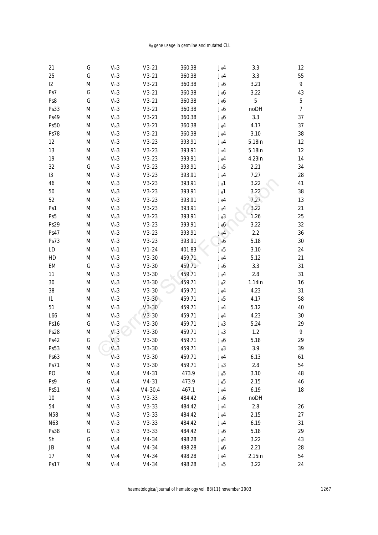## V<sub>H</sub> gene usage in germline and mutated CLL

| 21             | ${\bf G}$   | $V_H3$       | $V3-21$     | 360.38 | $J_H4$                               | 3.3       | 12               |
|----------------|-------------|--------------|-------------|--------|--------------------------------------|-----------|------------------|
| $25\,$         | ${\bf G}$   | $V_H3$       | $V3-21$     | 360.38 | $\mathbf{J}_\mathrm{H}\mathbf{4}$    | $3.3\,$   | 55               |
| $I2$           | M           | $V_H3$       | $V3-21$     | 360.38 | $\mathbf{J}_\text{H}\mathbf{6}$      | 3.21      | $\boldsymbol{9}$ |
| Ps7            | ${\bf G}$   | $V_H3$       | $V3-21$     | 360.38 | $\rm J_H6$                           | 3.22      | 43               |
| Ps8            | ${\bf G}$   | $V_H3$       | $V3-21$     | 360.38 | $\mathbf{J}_\text{H}\mathbf{6}$      | $\bf 5$   | $\mathbf 5$      |
| Ps33           | M           | $V_{\rm H}3$ | $V3-21$     | 360.38 | $\mathbf{J}_\text{H}\mathbf{6}$      | noDH      | 7                |
| Ps49           | $\mathbf M$ | $V_{\rm H}3$ | $V3-21$     | 360.38 | $\rm J_H6$                           | $3.3\,$   | 37               |
| <b>Ps50</b>    | $\mathbf M$ | $V_H3$       | $V3-21$     | 360.38 | $\mathbf{J}_\mathrm{H} \mathbf{4}$   | 4.17      | 37               |
| Ps78           | M           | $V_H3$       | $V3-21$     | 360.38 | $\mathbf{J}_\mathrm{H} \mathbf{4}$   | 3.10      | 38               |
| $12\,$         | M           | $V_H3$       | $V3-23$     | 393.91 | $\mathbf{J}_\mathrm{H} \mathbf{4}$   | 5.18in    | 12               |
| 13             | M           | $V_H3$       | $V3-23$     | 393.91 | $\mathbf{J}_\mathrm{H} \mathbf{4}$   | 5.18in    | 12               |
| 19             | M           | $V_{\rm H}3$ | $V3-23$     | 393.91 | $J_H4$                               | 4.23in    | 14               |
| $32\,$         | ${\bf G}$   | $V_{\rm H}3$ | $V3-23$     | 393.91 | $\mathrm{J}_{\mathrm{H}}5$           | 2.21      | 34               |
| <b>I3</b>      | M           | $V_H3$       | $V3-23$     | 393.91 | $\mathbf{J}_\mathrm{H} \mathbf{4}$   | 7.27      | 28               |
| 46             | M           | $V_{\rm H}3$ | $V3-23$     | 393.91 | $\mathbf{J}_{\mathrm{H}}\mathbf{1}$  | 3.22      | 41               |
| $50\,$         | M           | $V_H3$       | $V3-23$     | 393.91 | $\mathbf{J}_{\mathrm{H}} \mathbf{1}$ | 3.22      | 38               |
| $52\,$         | M           | $V_{\rm H}3$ | $V3-23$     | 393.91 | $\mathbf{J}_\mathrm{H}\mathbf{4}$    | 7.27      | 13               |
| Ps1            | M           | $V_H3$       | $V3-23$     | 393.91 | $J_H4$                               | 3.22      | 21               |
| Ps5            | $\mathbf M$ | $V_{\rm H}3$ | $V3-23$     | 393.91 | $J_H3$                               | 1.26      | $25\,$           |
| Ps29           | $\mathbf M$ | $V_H3$       | $V3-23$     | 393.91 | $\mathbf{J}_\text{H}\mathbf{6}$      | 3.22      | $32\,$           |
| Ps47           | M           | $V_{\rm H}3$ | $V3-23$     | 393.91 | $J_H4$                               | $2.2\,$   | 36               |
| Ps73           | M           | $V_H3$       | $V3-23$     | 393.91 | $\rm J_H6$                           | 5.18      | $30\,$           |
| LD             | M           | $V_{\rm H}1$ | $V1-24$     | 401.83 | $\mathrm{J}_{\mathrm{H}}5$           | 3.10      | 24               |
| HD             | M           | $V_H3$       | $V3-30$     | 459.71 | $\mathbf{J}_\mathrm{H}\mathbf{4}$    | 5.12      | 21               |
| EM             | ${\bf G}$   | $V_{\rm H}3$ | $V3-30$     | 459.71 | $\rm J_H6$                           | 3.3       | 31               |
| 11             | M           | $V_H3$       | $V3-30$     | 459.71 | $\mathbf{J}_\mathrm{H} \mathbf{4}$   | $2.8\,$   | 31               |
| $30\,$         | M           | $V_H3$       | $V3-30$     | 459.71 | $\rm J_H2$                           | $1.14$ in | 16               |
| $38\,$         | M           | $V_H3$       | $V3-30$     | 459.71 | $\mathbf{J}_\mathrm{H} \mathbf{4}$   | 4.23      | 31               |
| I1             | M           | $V_{\rm H}3$ | $V3-30$     | 459.71 | $\mathrm{J}_{\mathrm{H}}5$           | 4.17      | 58               |
| 51             | M           | $V_{\rm H}3$ | $V3-30$     | 459.71 | $\mathbf{J}_\mathrm{H}\mathbf{4}$    | 5.12      | 40               |
| L66            | M           | $V_{\rm H}3$ | $V3-30$     | 459.71 | $\mathbf{J}_\mathrm{H} \mathbf{4}$   | 4.23      | 30               |
| Ps16           | ${\bf G}$   | $V_{\rm H}3$ | $V3-30$     | 459.71 | $J_{\rm H}3$                         | 5.24      | 29               |
| Ps28           | M           | $V_H3$       | $V3-30$     | 459.71 | $\mathbf{J}_\mathrm{H}\mathbf{3}$    | $1.2\,$   | $\boldsymbol{9}$ |
| Ps42           | ${\bf G}$   | $V_H3$       | $V3-30$     | 459.71 | $\rm J_H6$                           | 5.18      | 29               |
| Ps53           | M           | $V_H3$       | V3-30       | 459.71 | $J_H3$                               | 3.9       | 39               |
| Ps63           | M           | $V_H3$       | $V3-30$     | 459.71 | $J_H4$                               | 6.13      | 61               |
| Ps71           | $\mathbf M$ | $V_H3$       | $V3-30$     | 459.71 | $J_{\rm H}3$                         | $2.8\,$   | 54               |
| P <sub>O</sub> | $\mathbf M$ | $V_H4$       | $V4-31$     | 473.9  | $\mathrm{J}_{\mathrm{H}}5$           | 3.10      | 48               |
| Ps9            | ${\bf G}$   | $V_{\rm H}4$ | $V4-31$     | 473.9  | $\mathrm{J}_{\mathrm{H}}5$           | 2.15      | 46               |
| Ps51           | M           | $V_H4$       | $V4 - 30.4$ | 467.1  | $\mathbf{J}_\mathrm{H} \mathbf{4}$   | 6.19      | 18               |
| 10             | M           | $V_H3$       | $V3-33$     | 484.42 | $J_H6$                               | noDH      |                  |
| 54             | M           | $V_H3$       | $V3-33$     | 484.42 | $J_H4$                               | $2.8\,$   | 26               |
| N58            | M           | $V_H3$       | $V3-33$     | 484.42 | $J_H4$                               | 2.15      | $27\,$           |
| N63            | M           | $V_H3$       | $V3-33$     | 484.42 | $J_H4$                               | 6.19      | 31               |
| <b>Ps38</b>    | ${\bf G}$   | $V_H3$       | $V3-33$     | 484.42 | $\mathbf{J}_\text{H}\mathbf{6}$      | 5.18      | 29               |
| Sh             | ${\bf G}$   | $V_H4$       | $V4-34$     | 498.28 | $\mathbf{J}_\mathrm{H} \mathbf{4}$   | 3.22      | 43               |
| JB             | M           | $V_H4$       | $V4-34$     | 498.28 | $J_H6$                               | 2.21      | $\bf 28$         |
| 17             | M           | $V_H4$       | $V4-34$     | 498.28 | $\mathbf{J}_\mathrm{H} \mathbf{4}$   | $2.15$ in | 54               |
| Ps17           | M           | $V_H4$       | $V4-34$     | 498.28 | $J_H5$                               | 3.22      | $\bf 24$         |
|                |             |              |             |        |                                      |           |                  |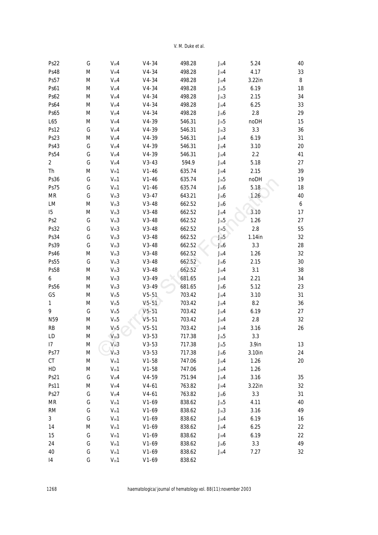V. M. Duke et al.

| Ps22                | ${\bf G}$   | $V_H4$       | $V4-34$ | 498.28 | $J_H4$                              | 5.24              | 40               |
|---------------------|-------------|--------------|---------|--------|-------------------------------------|-------------------|------------------|
| <b>Ps48</b>         | $\mathbf M$ | $V_{\rm H}4$ | $V4-34$ | 498.28 | $\mathbf{J}_\mathrm{H} \mathbf{4}$  | 4.17              | 33               |
| Ps57                | $\mathbf M$ | $V_H4$       | $V4-34$ | 498.28 | $\mathbf{J}_\mathrm{H} \mathbf{4}$  | $3.22$ in         | $\bf 8$          |
| $\mathbf{Ps61}$     | $\mathbf M$ | $V_H4$       | $V4-34$ | 498.28 | $\mathbf{J}_{\mathrm{H}}\mathbf{5}$ | 6.19              | 18               |
| Ps62                | $\mathbf M$ | $V_H4$       | $V4-34$ | 498.28 | $J_{\rm H}3$                        | 2.15              | 34               |
| <b>Ps64</b>         | $\mathbf M$ | $V_H4$       | $V4-34$ | 498.28 | $J_{\rm H}4$                        | 6.25              | 33               |
| Ps65                | $\mathbf M$ | $V_H4$       | $V4-34$ | 498.28 | $\mathbf{J}_\text{H}\mathbf{6}$     | $2.8\,$           | 29               |
| L65                 | $\mathbf M$ | $V_H4$       | $V4-39$ | 546.31 | $\mathbf{J}_{\mathrm{H}}\mathbf{5}$ | noDH              | 15               |
| Ps12                | ${\bf G}$   | $V_H4$       | $V4-39$ | 546.31 | $J_{\rm H}3$                        | $3.3\,$           | 36               |
| Ps23                | $\mathbf M$ | $V_H4$       | $V4-39$ | 546.31 | $\mathbf{J}_\mathrm{H} \mathbf{4}$  | 6.19              | 31               |
| Ps43                | ${\bf G}$   | $V_H4$       | $V4-39$ | 546.31 | $\mathbf{J}_\mathrm{H} \mathbf{4}$  | 3.10              | $20\,$           |
| Ps54                | ${\bf G}$   | $V_H4$       | $V4-39$ | 546.31 | $J_{\rm H}4$                        | $2.2\,$           | 41               |
| $\boldsymbol{2}$    | ${\bf G}$   | $V_H4$       | $V3-43$ | 594.9  | $J_{\rm H}4$                        | 5.18              | $27\,$           |
| Th                  | $\mathbf M$ | $V_{\rm H}1$ | $V1-46$ | 635.74 | $J_H4$                              | 2.15              | 39               |
| Ps36                | ${\bf G}$   | $V_H1$       | $V1-46$ | 635.74 | $J_H5$                              | noDH              | 19               |
| Ps75                | ${\bf G}$   | $V_{\rm H}1$ | $V1-46$ | 635.74 | $J_H6$                              | 5.18              | 18               |
| <b>MR</b>           | ${\bf G}$   | $V_H3$       | $V3-47$ | 643.21 | $\mathbf{J}_\text{H}\mathbf{6}$     | 1.26              | 40               |
| ${\rm LM}$          | $\mathbf M$ | $V_H3$       | $V3-48$ | 662.52 | $\mathbf{J}_\mathrm{H}\mathbf{6}$   |                   | $\boldsymbol{6}$ |
| I5                  | $\mathbf M$ | $V_H3$       | $V3-48$ | 662.52 | $J_H4$                              | 3.10              | 17               |
| Ps2                 | ${\bf G}$   | $V_H3$       | $V3-48$ | 662.52 | $J_H5$                              | 1.26              | $27\,$           |
| Ps32                | ${\bf G}$   | $V_H3$       | $V3-48$ | 662.52 | $J_H5$                              | $2.8\,$           | 55               |
| Ps34                | ${\bf G}$   | $V_H3$       | $V3-48$ | 662.52 | $J_H5$                              | $1.14$ in         | $32\,$           |
| Ps39                | ${\bf G}$   | $V_H3$       | $V3-48$ | 662.52 | $\mathrm{J_H}\mathrm{6}$            | $3.3\,$           | 28               |
| <b>Ps46</b>         | $\mathbf M$ | $V_H3$       | $V3-48$ | 662.52 | $\mathbf{J}_\mathrm{H} \mathbf{4}$  | 1.26              | $32\,$           |
| Ps55                | ${\bf G}$   | $V_H3$       | $V3-48$ | 662.52 | $\rm J_H6$                          | 2.15              | $30\,$           |
| <b>Ps58</b>         | $\mathbf M$ | $V_H3$       | $V3-48$ | 662.52 | $\mathbf{J}_\mathrm{H}\mathbf{4}$   | 3.1               | 38               |
| $\boldsymbol{6}$    | $\mathbf M$ | $V_H3$       | $V3-49$ | 681.65 | $\mathbf{J}_\mathrm{H} \mathbf{4}$  | 2.21              | 34               |
| Ps56                | $\mathbf M$ | $V_H3$       | $V3-49$ | 681.65 | $\mathrm{J_H}\mathrm{6}$            | 5.12              | 23               |
| $\operatorname{GS}$ | $\mathbf M$ | $V_H5$       | $V5-51$ | 703.42 | $\mathbf{J}_\mathrm{H}\mathbf{4}$   | 3.10              | 31               |
| $\mathbf{1}$        | $\mathbf M$ | $V_{\rm H}5$ | $V5-51$ | 703.42 | $J_{\rm H}4$                        | $\bf 8.2$         | 36               |
| 9                   | ${\bf G}$   | $V_H5$       | $V5-51$ | 703.42 | $J_{\rm H}4$                        | 6.19              | $27\,$           |
| N59                 | $\mathbf M$ | $V_H 5$      | $V5-51$ | 703.42 | $J_H4$                              | $2.8\,$           | $32\,$           |
| RB                  | $\mathbf M$ | $V_H5$       | $V5-51$ | 703.42 | $J_H4$                              | 3.16              | $26\,$           |
| LD                  | $\mathbf M$ | $V_H3$       | $V3-53$ | 717.38 | $J_H5$                              | 3.3               |                  |
| ${\it I7}$          | M           | $V_H3$       | $V3-53$ | 717.38 | $J_H5$                              | 3.9 <sub>in</sub> | 13               |
| <b>Ps77</b>         | M           | $V_H3$       | $V3-53$ | 717.38 | $J_H6$                              | 3.10in            | 24               |
| CT                  | $\mathbf M$ | $V_{\rm H}1$ | $V1-58$ | 747.06 | $J_{\rm H}4$                        | 1.26              | $20\,$           |
| HD                  | $\mathbf M$ | $V_{\rm H}1$ | $V1-58$ | 747.06 | $\mathbf{J}_\mathrm{H}\mathbf{4}$   | 1.26              |                  |
| Ps21                | ${\bf G}$   | $V_H4$       | $V4-59$ | 751.94 | $\mathbf{J}_\mathrm{H} \mathbf{4}$  | 3.16              | $35\,$           |
| Ps11                | $\mathbf M$ | $V_H4$       | $V4-61$ | 763.82 | $J_H4$                              | 3.22in            | $32\,$           |
| Ps27                | ${\bf G}$   | $V_H4$       | $V4-61$ | 763.82 | $\rm J_H6$                          | $3.3\,$           | 31               |
| MR                  | ${\bf G}$   | $V_{\rm H}1$ | $V1-69$ | 838.62 | $\mathrm{J}_{\mathrm{H}}5$          | 4.11              | 40               |
| RM                  | ${\bf G}$   | $V_H1$       | $V1-69$ | 838.62 | $J_{\rm H}3$                        | 3.16              | 49               |
| 3                   | ${\bf G}$   | $V_{\rm H}1$ | $V1-69$ | 838.62 | $J_{\rm H}4$                        | 6.19              | 16               |
| 14                  | $\mathbf M$ | $V_H1$       | $V1-69$ | 838.62 | $J_H4$                              | 6.25              | $22\,$           |
| 15                  | ${\bf G}$   | $V_H1$       | $V1-69$ | 838.62 | $J_H4$                              | 6.19              | $22\,$           |
| 24                  | ${\bf G}$   | $V_H1$       | $V1-69$ | 838.62 | $\rm J_H6$                          | 3.3               | 49               |
| 40                  | ${\bf G}$   | $V_{\rm H}1$ | $V1-69$ | 838.62 | $J_H4$                              | 7.27              | $32\,$           |
| I4                  | ${\bf G}$   | $V_H1$       | $V1-69$ | 838.62 |                                     |                   |                  |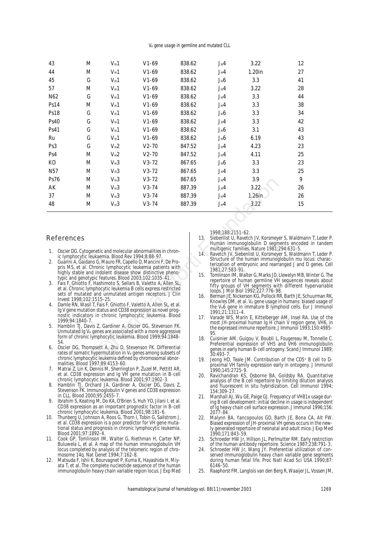V<sub>H</sub> gene usage in germline and mutated CLL

| 43                                                                                                                                                                                                                                                                                                                                                                                               | M                                                                                                                                                                                  | $V_H1$                                                                                                                                                                                       | $V1-69$ | 838.62                                                                                                                                                                                                                                                                                                                                                                               | $J_H4$                                                                                                                                                                                                        | 3.22                                                                                                                                                           | 12 |  |
|--------------------------------------------------------------------------------------------------------------------------------------------------------------------------------------------------------------------------------------------------------------------------------------------------------------------------------------------------------------------------------------------------|------------------------------------------------------------------------------------------------------------------------------------------------------------------------------------|----------------------------------------------------------------------------------------------------------------------------------------------------------------------------------------------|---------|--------------------------------------------------------------------------------------------------------------------------------------------------------------------------------------------------------------------------------------------------------------------------------------------------------------------------------------------------------------------------------------|---------------------------------------------------------------------------------------------------------------------------------------------------------------------------------------------------------------|----------------------------------------------------------------------------------------------------------------------------------------------------------------|----|--|
| 44                                                                                                                                                                                                                                                                                                                                                                                               | M                                                                                                                                                                                  | $V_H1$                                                                                                                                                                                       | $V1-69$ | 838.62                                                                                                                                                                                                                                                                                                                                                                               | $J_H4$                                                                                                                                                                                                        | $1.20$ in                                                                                                                                                      | 27 |  |
| 45                                                                                                                                                                                                                                                                                                                                                                                               | $\mathbf G$                                                                                                                                                                        | $V_H1$                                                                                                                                                                                       | $V1-69$ | 838.62                                                                                                                                                                                                                                                                                                                                                                               | J <sub>H</sub> 6                                                                                                                                                                                              | 3.3                                                                                                                                                            | 41 |  |
| 57                                                                                                                                                                                                                                                                                                                                                                                               | M                                                                                                                                                                                  | $V_H1$                                                                                                                                                                                       | $V1-69$ | 838.62                                                                                                                                                                                                                                                                                                                                                                               | $J_H4$                                                                                                                                                                                                        | 3.22                                                                                                                                                           | 28 |  |
| N62                                                                                                                                                                                                                                                                                                                                                                                              | G                                                                                                                                                                                  | $V_H1$                                                                                                                                                                                       | $V1-69$ | 838.62                                                                                                                                                                                                                                                                                                                                                                               | $J_H4$                                                                                                                                                                                                        | 3.3                                                                                                                                                            | 44 |  |
| Ps14                                                                                                                                                                                                                                                                                                                                                                                             | M                                                                                                                                                                                  | $V_H1$                                                                                                                                                                                       | $V1-69$ | 838.62                                                                                                                                                                                                                                                                                                                                                                               | $J_H4$                                                                                                                                                                                                        | 3.3                                                                                                                                                            | 38 |  |
| <b>Ps18</b>                                                                                                                                                                                                                                                                                                                                                                                      | ${\bf G}$                                                                                                                                                                          | $V_H1$                                                                                                                                                                                       | $V1-69$ | 838.62                                                                                                                                                                                                                                                                                                                                                                               | $J_H6$                                                                                                                                                                                                        | 3.3                                                                                                                                                            | 34 |  |
| <b>Ps40</b>                                                                                                                                                                                                                                                                                                                                                                                      | G                                                                                                                                                                                  | $V_H1$                                                                                                                                                                                       | $V1-69$ | 838.62                                                                                                                                                                                                                                                                                                                                                                               | $J_H4$                                                                                                                                                                                                        | 3.3                                                                                                                                                            | 42 |  |
| Ps41                                                                                                                                                                                                                                                                                                                                                                                             | $\mathsf G$                                                                                                                                                                        | $V_H1$                                                                                                                                                                                       | $V1-69$ | 838.62                                                                                                                                                                                                                                                                                                                                                                               | $J_H6$                                                                                                                                                                                                        | 3.1                                                                                                                                                            | 43 |  |
| Ru                                                                                                                                                                                                                                                                                                                                                                                               | $\mathsf G$                                                                                                                                                                        | $V_H1$                                                                                                                                                                                       | $V1-69$ | 838.62                                                                                                                                                                                                                                                                                                                                                                               | $J_H6$                                                                                                                                                                                                        | 6.19                                                                                                                                                           | 43 |  |
| Ps3                                                                                                                                                                                                                                                                                                                                                                                              | ${\bf G}$                                                                                                                                                                          | $V_H2$                                                                                                                                                                                       | $V2-70$ | 847.52                                                                                                                                                                                                                                                                                                                                                                               | $J_H4$                                                                                                                                                                                                        | 4.23                                                                                                                                                           | 23 |  |
| Ps4                                                                                                                                                                                                                                                                                                                                                                                              | M                                                                                                                                                                                  | $V_H2$                                                                                                                                                                                       | $V2-70$ | 847.52                                                                                                                                                                                                                                                                                                                                                                               | $J_H4$                                                                                                                                                                                                        | 4.11                                                                                                                                                           | 25 |  |
| K <sub>0</sub>                                                                                                                                                                                                                                                                                                                                                                                   | M                                                                                                                                                                                  | $V_H3$                                                                                                                                                                                       | $V3-72$ | 867.65                                                                                                                                                                                                                                                                                                                                                                               | $J_H6$                                                                                                                                                                                                        | 3.3                                                                                                                                                            | 23 |  |
| N57                                                                                                                                                                                                                                                                                                                                                                                              | M                                                                                                                                                                                  | $V_H3$                                                                                                                                                                                       | $V3-72$ | 867.65                                                                                                                                                                                                                                                                                                                                                                               | $J_H4$                                                                                                                                                                                                        | 3.3                                                                                                                                                            | 25 |  |
| Ps76                                                                                                                                                                                                                                                                                                                                                                                             | M                                                                                                                                                                                  | $V_H3$                                                                                                                                                                                       | $V3-72$ | 867.65                                                                                                                                                                                                                                                                                                                                                                               | $J_H4$                                                                                                                                                                                                        | 3.9                                                                                                                                                            | 9  |  |
| AK                                                                                                                                                                                                                                                                                                                                                                                               | M                                                                                                                                                                                  | $V_H3$                                                                                                                                                                                       | $V3-74$ | 887.39                                                                                                                                                                                                                                                                                                                                                                               | $J_H4$                                                                                                                                                                                                        | 3.22                                                                                                                                                           | 26 |  |
| 37                                                                                                                                                                                                                                                                                                                                                                                               | M                                                                                                                                                                                  | $V_H3$                                                                                                                                                                                       | $V3-74$ | 887.39                                                                                                                                                                                                                                                                                                                                                                               | $J_H4$                                                                                                                                                                                                        | 1.26in                                                                                                                                                         | 26 |  |
| 48                                                                                                                                                                                                                                                                                                                                                                                               | M                                                                                                                                                                                  | $V_H3$                                                                                                                                                                                       | $V3-74$ | 887.39                                                                                                                                                                                                                                                                                                                                                                               | $J_H4$                                                                                                                                                                                                        | 3.22                                                                                                                                                           | 15 |  |
|                                                                                                                                                                                                                                                                                                                                                                                                  |                                                                                                                                                                                    |                                                                                                                                                                                              |         |                                                                                                                                                                                                                                                                                                                                                                                      | 1998;188:2151-62.                                                                                                                                                                                             |                                                                                                                                                                |    |  |
| References<br>1.                                                                                                                                                                                                                                                                                                                                                                                 |                                                                                                                                                                                    |                                                                                                                                                                                              |         | 13.                                                                                                                                                                                                                                                                                                                                                                                  |                                                                                                                                                                                                               | Siebenlist U, Ravetch JV, Korsmeyer S, Waldmann T,<br>Human immunoglobulin D segments encoded in<br>multigenic families. Nature 1981;294:631-5.                |    |  |
| 2.                                                                                                                                                                                                                                                                                                                                                                                               | Oscier DG. Cytogenetic and molecular abnormalities in chron-<br>ic lymphocytic leukaemia. Blood Rev 1994;8:88-97.<br>Guarini A, Gaidano G, Mauro FR, Capello D, Mancini F, De Pro- |                                                                                                                                                                                              |         |                                                                                                                                                                                                                                                                                                                                                                                      |                                                                                                                                                                                                               | 14. Ravetch JV, Siebenlist U, Korsmeyer S, Waldmann T,<br>Structure of the human immunoglobulin mu locus:<br>terization of embryonic and rearranged J and D ge |    |  |
|                                                                                                                                                                                                                                                                                                                                                                                                  |                                                                                                                                                                                    | pris MS, et al. Chronic lymphocytic leukemia patients with<br>highly stable and indolent disease show distinctive pheno-<br>typic and genotypic features. Blood 2003;102:1035-41.            | 15.     | 1981;27:583-91.<br>Tomlinson IM, Walter G, Marks JD, Llewelyn MB, Wint<br>repertoire of human germline VH sequences revea<br>fifty groups of VH segments with different hyper<br>loops. J Mol Biol 1992; 227:776-98.<br>Berman JE, Nickerson KG, Pollock RR, Barth JE, Schuur                                                                                                        |                                                                                                                                                                                                               |                                                                                                                                                                |    |  |
| 3.                                                                                                                                                                                                                                                                                                                                                                                               |                                                                                                                                                                                    | Fais F, Ghiotto F, Hashimoto S, Sellars B, Valetto A, Allen SL,<br>et al. Chronic lymphocytic leukemia B cells express restricted<br>sets of mutated and unmutated antigen receptors. J Clin | 16.     |                                                                                                                                                                                                                                                                                                                                                                                      |                                                                                                                                                                                                               |                                                                                                                                                                |    |  |
| Invest 1998;102:1515-25.<br>Damle RN, Wasil T, Fais F, Ghiotto F, Valetto A, Allen SL, et al.<br>4.<br>Iq V gene mutation status and CD38 expression as novel prog-<br>nostic indicators in chronic lymphocytic leukemia. Blood<br>1999:94:1840-7.<br>5.<br>Hamblin TJ, Davis Z, Gardiner A, Oscier DG, Stevenson FK.<br>Unmutated Iq V <sub>H</sub> genes are associated with a more aggressive |                                                                                                                                                                                    |                                                                                                                                                                                              |         |                                                                                                                                                                                                                                                                                                                                                                                      | Knowles DM, et al. V <sub>H</sub> gene usage in humans: biased<br>the V <sub>H</sub> 6 gene in immature B lymphoid cells. Eur J l<br>1991;21:1311-4.<br>17. Varade WS, Marin E, Kittelberger AM, Insel RA. Us |                                                                                                                                                                |    |  |
|                                                                                                                                                                                                                                                                                                                                                                                                  |                                                                                                                                                                                    |                                                                                                                                                                                              |         |                                                                                                                                                                                                                                                                                                                                                                                      | 95.                                                                                                                                                                                                           | most JH-proximal human Ig H chain V region gene<br>the expressed immune repertoire. J Immunol 1993;15                                                          |    |  |
| form of chronic lymphocytic leukemia. Blood 1999;94:1848-<br>54.<br>Oscier DG, Thompsett A, Zhu D, Stevenson FK. Differential<br>6.<br>rates of somatic hypermutation in $V_H$ genes among subsets of                                                                                                                                                                                            |                                                                                                                                                                                    |                                                                                                                                                                                              |         |                                                                                                                                                                                                                                                                                                                                                                                      | 18.<br>30:493-7.                                                                                                                                                                                              | Cuisinier AM, Guigou V, Boubli L, Fougereau M, To<br>Preferential expression of VH5 and VH6 immund<br>genes in early human B-cell ontogeny. Scand J Immur      |    |  |
|                                                                                                                                                                                                                                                                                                                                                                                                  |                                                                                                                                                                                    | chronic lymphocytic loukomia dofined by chromosomal abpor-                                                                                                                                   |         | $\overline{1}$ $\overline{1}$ $\overline{2}$ $\overline{3}$ $\overline{4}$ $\overline{2}$ $\overline{1}$ $\overline{2}$ $\overline{1}$ $\overline{2}$ $\overline{1}$ $\overline{2}$ $\overline{2}$ $\overline{2}$ $\overline{2}$ $\overline{2}$ $\overline{2}$ $\overline{2}$ $\overline{2}$ $\overline{2}$ $\overline{2}$ $\overline{2}$ $\overline{2}$ $\overline{2}$ $\overline{$ |                                                                                                                                                                                                               |                                                                                                                                                                |    |  |

#### References

- 1. Oscier DG. Cytogenetic and molecular abnormalities in chronic lymphocytic leukaemia. Blood Rev 1994;8:88-97.
- 2. Guarini A, Gaidano G, Mauro FR, Capello D, Mancini F, De Propris MS, et al. Chronic lymphocytic leukemia patients with highly stable and indolent disease show distinctive phenotypic and genotypic features. Blood 2003;102:1035-41.
- Fais F, Ghiotto F, Hashimoto S, Sellars B, Valetto A, Allen SL, et al. Chronic lymphocytic leukemia B cells express restricted sets of mutated and unmutated antigen receptors. J Clin Invest 1998;102:1515-25.
- Damle RN, Wasil T, Fais F, Ghiotto F, Valetto A, Allen SL, et al. Ig V gene mutation status and CD38 expression as novel prognostic indicators in chronic lymphocytic leukemia. Blood 1999;94:1840-7.
- 5. Hamblin TJ, Davis Z, Gardiner A, Oscier DG, Stevenson FK. Unmutated  $Ig V<sub>H</sub>$  genes are associated with a more aggressive form of chronic lymphocytic leukemia. Blood 1999;94:1848- 54.
- 6. Oscier DG, Thompsett A, Zhu D, Stevenson FK. Differential rates of somatic hypermutation in  $V_H$  genes among subsets of chronic lymphocytic leukemia defined by chromosomal abnormalities. Blood 1997;89:4153-60.
- 7. Matrai Z, Lin K, Dennis M, Sherrington P, Zuzel M, Pettitt AR, et al. CD38 expression and Ig VH gene mutation in B-cell chronic lymphocytic leukemia. Blood 2001;97:1902-3.
- 8. Hamblin TJ, Orchard JA, Gardiner A, Oscier DG, Davis Z, Stevenson FK. Immunoglobulin V genes and CD38 expression in CLL. Blood 2000;95:2455-7.
- Ibrahim S, Keating M, Do KA, O'Brien S, Huh YO, Jilani I, et al. CD38 expression as an important prognostic factor in B-cell chronic lymphocytic leukemia. Blood 2001;98:181-6.
- 10. Thunberg U, Johnson A, Roos G, Thorn I, Tobin G, Sallstrom J, et al. CD38 expression is a poor predictor for VH gene mutational status and prognosis in chronic lymphocytic leukemia. Blood 2001;97:1892-4.
- 11. Cook GP, Tomlinson IM, Walter G, Riethman H, Carter NP, Buluwela L, et al. A map of the human immunoglobulin VH locus completed by analysis of the telomeric region of chromosome 14q. Nat Genet 1994;7:162-8.
- 12. Matsuda F, Ishii K, Bourvagnet P, Kuma K, Hayashida H, Miyata T, et al. The complete nucleotide sequence of the human immunoglobulin heavy chain variable region locus. J Exp Med

- 13. Siebenlist U, Ravetch JV, Korsmeyer S, Waldmann T, Leder P. Human immunoglobulin D segments encoded in tandem multigenic families. Nature 1981;294:631-5.
- 14. Ravetch JV, Siebenlist U, Korsmeyer S, Waldmann T, Leder P. Structure of the human immunoglobulin mu locus: characterization of embryonic and rearranged J and D genes. Cell 1981;27:583-91.
- 15. Tomlinson IM, Walter G, Marks JD, Llewelyn MB, Winter G. The repertoire of human germline VH sequences reveals about fifty groups of VH segments with different hypervariable loops. J Mol Biol 1992;227:776-98.
- 16. Berman JE, Nickerson KG, Pollock RR, Barth JE, Schuurman RK, Knowles DM, et al. V<sub>H</sub> gene usage in humans: biased usage of the VH6 gene in immature B lymphoid cells. Eur J Immunol 1991;21:1311-4.
- Varade WS, Marin E, Kittelberger AM, Insel RA. Use of the most JH-proximal human Ig H chain V region gene, VH6, in the expressed immune repertoire. J Immunol 1993;150:4985- 95.
- 18. Cuisinier AM, Guigou V, Boubli L, Fougereau M, Tonnelle C. Preferential expression of VH5 and VH6 immunoglobulin genes in early human B-cell ontogeny. Scand J Immunol 1989; 30:493-7.
- Jeong HD, Teale JM. Contribution of the CD5+ B cell to Dproximal VH family expression early in ontogeny. J Immunol 1990;145:2725-9.
- 20. Ravichandran KS, Osborne BA, Goldsby RA. Quantitative analysis of the B cell repertoire by limiting dilution analysis and fluorescent in situ hybridization. Cell Immunol 1994; 154:309-27.
- 21. Marshall AJ, Wu GE, Paige GJ. Frequency of VH81x usage during B cell development: initial decline in usage is independent of Ig heavy chain cell surface expression. J Immunol 1996;156: 2077-84.
- 22. Malynn BA, Yancopoulos GD, Barth JE, Bona CA, Alt FW. Biased expression of JH-proximal VH genes occurs in the newly generated repertoire of neonatal and adult mice. J Exp Med 1990;171:843-59.
- 23. Schroeder HW Jr, Hillson JL, Perlmutter RM. Early restriction of the human antibody repertoire. Science 1987;238:791-3.
- 24. Schroeder HW Jr, Wang JY. Preferential utilization of conserved immunoglobulin heavy chain variable gene segments during human fetal life. Proc Natl Acad Sci USA 1990;87: 6146-50.
- 25. Raaphorst FM, Langlois van den Berg R, Waaijer JL, Vossen JM,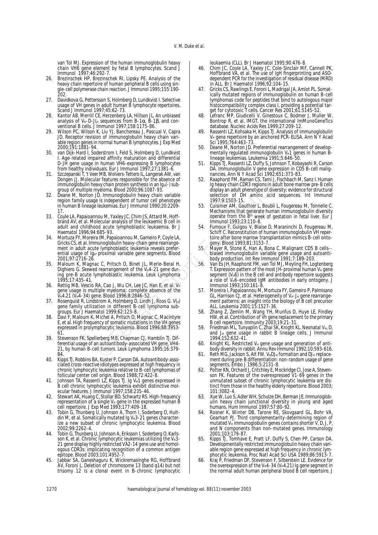van Tol MJ. Expression of the human immunoglobulin heavy chain VH6 gene element by fetal B lymphocytes. Scand J Immunol 1997;46:292-7.

- 26. Brezinschek HP, Brezinschek RI, Lipsky PE. Analysis of the heavy chain repertoire of human peripheral B cells using single-cell polymerase chain reaction. J Immunol 1995;155:190- 202.
- 27. Davidkova G, Pettersson S, Holmberg D, Lundkvist I. Selective usage of VH genes in adult human B lymphocyte repertoires. Scand J Immunol 1997;45:62-73.
- 28. Kantor AB, Merrill CE, Herzenberg LA, Hillson JL. An unbiased analysis of V<sub>H</sub>-D-J(<sub>H</sub> sequences from B-1α, B-1β, and conventional B cells. J Immunol 1997;158:1175-86.
- 29. Wilson PC, Wilson K, Liu YJ, Banchereau J, Pascual V, Capra JD. Receptor revision of immunoglobulin heavy chain variable region genes in normal human B lymphocytes. J Exp Med 2000;191:1881-94.
- 30. van Dijk-Hard I, Soderstrom I, Feld S, Holmberg D, Lundkvist I. Age-related impaired affinity maturation and differential D-JH gene usage in human VH6-expressing B lymphocytes from healthy individuals. Eur J Immunol 1997;27:1381-6.
- 31. Szczepanski T, 't Veer MB, Wolvers-Tettero IL, Langerak AW, van Dongen JJ. Molecular features responsible for the absence of immunoglobulin heavy chain protein synthesis in an Ig<sub>H</sub>(-) subgroup of multiple myeloma. Blood 2000;96:1087-93.
- 32. Deane M, Norton JD. Immunoglobulin heavy chain variable region family usage is independent of tumor cell phenotype in human B lineage leukemias. Eur J Immunol 1990;20:2209- 17.
- 33. Coyle LA, Papaioannou M, Yaxley JC, Chim JS, Attard M, Hoffbrand AV, et al. Molecular analysis of the leukaemic B cell in adult and childhood acute lymphoblastic leukaemia. Br J Haematol 1996;94:685-93.
- 34. Mortuza FY, Moreira IM, Papaioannou M, Gameiro P, Coyle LA, Gricks CS, et al. Immunoglobulin heavy-chain gene rearrangement in adult acute lymphoblastic leukemia reveals preferential usage of Ig<sub>H</sub>-proximal variable gene segments. Blood 2001;97:2716-26. The reatives responsible for the absence of the same computer and the phenomics, Tamil J. Phenomics, Tamil Stortin (1994-2013)<br>
and the simulated phenomic since the sintenent of tumor cell phenomic since the sintenent of
- 35. Maloum K, Magnac C, Pritsch O, Binet JL, Merle-Beral H, Dighiero G. Skewed rearrangement of the V<sub>H</sub>4-21 gene during pre-B acute lymphoblastic leukemia. Leuk Lymphoma 1995;17:435-41.
- 36. Rettig MB, Vescio RA, Cao J, Wu CH, Lee JC, Han E, et al. VH gene usage is multiple myeloma: complete absence of the VH4.21 (VH4-34) gene. Blood 1996;8:2846-52.
- 37. Rosenquist R, Lindstrom A, Holmberg D, Lindh J, Roos G. V(H) gene family utilization in different B-cell lymphoma subgroups. Eur J Haematol 1999;62:123-8.
- 38. Davi F, Maloum K, Michel A, Pritsch O, Magnac C, Macintyre E, et al. High frequency of somatic mutations in the VH genes expressed in prolymphocytic leukemia. Blood 1996;88:3953- 61.
- 39. Stevenson FK, Spellerberg MB, Chapman CJ, Hamblin TJ. Differential usage of an autoantibody-associated VH gene, VH4- 21, by human B-cell tumors. Leuk Lymphoma 1995;16:379- 84.
- 40. Kipps TJ, Robbins BA, Kuster P, Carson DA. Autoantibody-associated cross-reactive idiotypes expressed at high frequency in chronic lymphocytic leukemia relative to B-cell lymphomas of follicular center cell origin. Blood 1988;72:422-8.
- 41. Johnson TA, Rassenti LZ, Kipps TJ. Ig V<sub>H</sub>1 genes expressed in B cell chronic lymphocytic leukemia exhibit distinctive molecular features. J Immunol 1997;158:235-46.
- 42. Stewart AK, Huang C, Stollar BD, Schwartz RS. High-frequency representation of a single V $_H$  gene in the expressed human B cell repertoire. J Exp Med 1993;177:409-18.
- 43. Tobin G, Thunberg U, Johnson A, Thorn I, Soderberg O, Hultdin M, et al. Somatically mutated Ig V<sub>H</sub>3-21 genes characterize a new subset of chronic lymphocytic leukemia. Blood 2002;99:2262-4.
- 44. Tobin G, Thunberg U, Johnson A, Eriksson I, Soderberg O, Karlsson K, et al. Chronic lymphocytic leukemias utilizing the VH3-21 gene display highly restricted Vλ2-14 gene use and homologous CDR3s: implicating recognition of a common antigen epitope. Blood 2003;101:4952-7.
- 45. Jabbar SA, Ganeshaguru K, Wickremasinghe RG, Hoffbrand AV, Foroni L. Deletion of chromosome 13 (band q14) but not trisomy 12 is a clonal event in B-chronic lymphocytic

leukaemia (CLL). Br J Haematol 1995;90:476-8.

- 46. Chim JC, Coyle LA, Yaxley JC, Cole-Sinclair MF, Cannell PK, Hoffbrand VA, et al. The use of IgH fingerprinting and ASOdependent PCR for the investigation of residual disease (MRD) in ALL. Br J Haematol 1996;92:104-15.
- 47. Gricks CS, Rawlings E, Foroni L, Madrigal JA, Amlot PL. Somatically mutated regions of immunoglobulin on human B-cell lymphomas code for peptides that bind to autologous major histocompatibility complex class I, providing a potential target for cytotoxic T cells. Cancer Res 2001;61:5145-52.
- 48. Lefranc MP, Giudicelli V, Ginestoux C, Bodmer J, Muller W, Bontrop R, et al. IMGT, the international ImMunoGeneTics database. Nucleic Acids Res 1999;27:209-12.
- Rassenti LZ, Kohsaka H, Kipps TJ. Analysis of immunoglobulin V<sub>H</sub> gene repertoire by an anchored PCR-ELISA. Ann N Y Acad Sci 1995;764:463-73.
- Deane M, Norton JD. Preferential rearrangement of developmentally regulated immunoglobulin V<sub>H</sub>1 genes in human Blineage leukemias. Leukemia 1991;5:646-50.
- 51. Kipps TJ, Rassenti LZ, Duffy S, Johnson T, Kobayashi R, Carson DA. Immunoglobulin V gene expression in CD5 B-cell malignancies. Ann N Y Acad Sci 1992;651:373-83.
- 52. Raaphorst FM, Raman CS, Tami J, Fischbach M, Sanz I. Human Ig heavy chain CDR3 regions in adult bone marrow pre-B cells display an adult phenotype of diversity: evidence for structural selection of DH amino acid sequences. Int Immunol 1997;9:1503-15.
- 53. Cuisinier AM, Gauthier L, Boubli L, Fougereau M, Tonnelle C. Mechanisms that generate human immunoglobulin diversity operate from the 8th week of gestation in fetal liver. Eur J Immunol 1993;23:110-8.
- 54. Fumoux F, Guigou V, Blaise D, Maraninchi D, Fougereau M, Schiff C. Reconstitution of human immunoglobulin VH repertoire after bone marrow transplantation mimics B-cell ontogeny. Blood 1993;81:3153-7.
- 55. Mayer R, Stone K, Han A, Bona C. Malignant CD5 B cells- biased immunoglobulin variable gene usage and autoantibody production. Int Rev Immunol 1991;7:189-203.
- 56. Van Es JH, Raaphorst FM, van Tol MJ, Meyling FH, Logtenberg T. Expression pattern of the most JH-proximal human V<sub>H</sub> gene segment (V<sub>H</sub>6) in the B cell and antibody repertoire suggests a role of V<sub>H</sub>6-encoded IgM antibodies in early ontogeny. J Immunol 1993;150:161-8.
- 57. Moreira I, Papaioannou M, Mortuza FY, Gameiro P, Palmisano GL, Harrison CJ, et al. Heterogeneity of V<sub>H</sub>-J<sub>H</sub> gene rearrangement patterns: an insight into the biology of B cell precursor ALL. Leukemia 2001;15:1527-36.
- 58. Zhang Z, Zemlin M, Wang YH, Munfus D, Huye LE, Findley HW, et al. Contribution of Vh gene replacement to the primary B cell repertoire. Immunity 2003;19:21-31.
- 59. Friedman ML, Tunyaplin C, Zhai SK, Knight KL. Neonatal V<sub>H</sub>, D, and J<sub>H</sub> gene usage in rabbit B lineage cells. J Immunol 1994;152:632-41.
- 60. Knight KL. Restricted  $V_H$  gene usage and generation of antibody diversity in rabbit. Annu Rev Immunol 1992;10:593-616.
- 61. Reth MG, Jackson S, Alt FW. VHDJH formation and DJH replacement during pre-B differentiation: non-random usage of gene segments. Embo J 1986;5:2131-8.
- 62. Potter KN, Orchard J, Critchley E, Mockridge CI, Jose A, Stevenson FK. Features of the overexpressed V1-69 genes in the unmutated subset of chronic lymphocytic leukemia are distinct from those in the healthy elderly repertoire. Blood 2003; 101:3082-4.
- 63. Xue W, Luo S, Adler WH, Schulze DH, Berman JE. Immunoglobulin heavy chain junctional diversity in young and aged humans. Hum Immunol 1997;57:80-92.
- 64. Rosner K, Winter DB, Tarone RE, Skovgaard GL, Bohr VA, Gearhart PJ. Third complementarity-determining region of mutated V<sub>H</sub> immunoglobulin genes contains shorter V, D, J, P, and N components than non-mutated genes. Immunology 2001;103:179-87.
- 65. Kipps TJ, Tomhave E, Pratt LF, Duffy S, Chen PP, Carson DA. Developmentally restricted immunoglobulin heavy chain variable region gene expressed at high frequency in chronic lymphocytic leukemia. Proc Natl Acad Sci USA 1989;86:5913-7.
- 66. Kraj P, Friedman DF, Stevenson F, Silberstein LE. Evidence for the overexpression of the V $_H$ 4-34 (V $_H$ 4.21) Ig gene segment in the normal adult human peripheral blood B cell repertoire. J